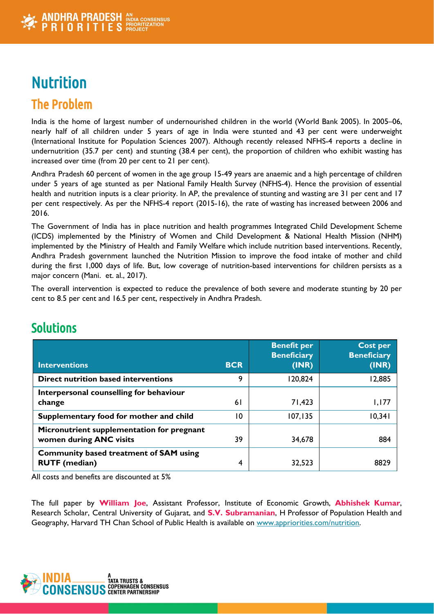

# **Nutrition** The Problem

India is the home of largest number of undernourished children in the world (World Bank 2005). In 2005–06, nearly half of all children under 5 years of age in India were stunted and 43 per cent were underweight (International Institute for Population Sciences 2007). Although recently released NFHS-4 reports a decline in undernutrition (35.7 per cent) and stunting (38.4 per cent), the proportion of children who exhibit wasting has increased over time (from 20 per cent to 21 per cent).

Andhra Pradesh 60 percent of women in the age group 15-49 years are anaemic and a high percentage of children under 5 years of age stunted as per National Family Health Survey (NFHS-4). Hence the provision of essential health and nutrition inputs is a clear priority. In AP, the prevalence of stunting and wasting are 31 per cent and 17 per cent respectively. As per the NFHS-4 report (2015-16), the rate of wasting has increased between 2006 and 2016.

The Government of India has in place nutrition and health programmes Integrated Child Development Scheme (ICDS) implemented by the Ministry of Women and Child Development & National Health Mission (NHM) implemented by the Ministry of Health and Family Welfare which include nutrition based interventions. Recently, Andhra Pradesh government launched the Nutrition Mission to improve the food intake of mother and child during the first 1,000 days of life. But, low coverage of nutrition-based interventions for children persists as a major concern (Mani. et. al., 2017).

The overall intervention is expected to reduce the prevalence of both severe and moderate stunting by 20 per cent to 8.5 per cent and 16.5 per cent, respectively in Andhra Pradesh.

| <b>Interventions</b>                                                  | <b>BCR</b> | <b>Benefit per</b><br><b>Beneficiary</b><br>(INR) | Cost per<br><b>Beneficiary</b><br>(INR) |
|-----------------------------------------------------------------------|------------|---------------------------------------------------|-----------------------------------------|
| <b>Direct nutrition based interventions</b>                           | 9          | 120,824                                           | 12,885                                  |
| Interpersonal counselling for behaviour<br>change                     | 61         | 71,423                                            | 1,177                                   |
| Supplementary food for mother and child                               | 10         | 107, 135                                          | 10,341                                  |
| Micronutrient supplementation for pregnant<br>women during ANC visits | 39         | 34,678                                            | 884                                     |
| <b>Community based treatment of SAM using</b><br><b>RUTF</b> (median) | 4          | 32,523                                            | 8829                                    |

# **Solutions**

All costs and benefits are discounted at 5%

The full paper by **William Joe**, Assistant Professor, Institute of Economic Growth, **Abhishek Kumar**, Research Scholar, Central University of Gujarat, and **S.V. Subramanian**, H Professor of Population Health and Geography, Harvard TH Chan School of Public Health is available on [www.appriorities.com/nutrition.](http://www.appriorities.com/nutrition)

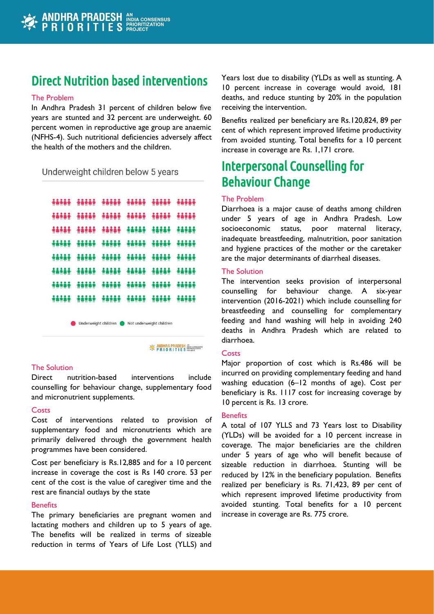# Direct Nutrition based interventions

#### The Problem

In Andhra Pradesh 31 percent of children below five years are stunted and 32 percent are underweight. 60 percent women in reproductive age group are anaemic (NFHS-4). Such nutritional deficiencies adversely affect the health of the mothers and the children.

### Underweight children below 5 years

|  | ****** ***** ***** ***** ***** ****        |                                       |  |
|--|--------------------------------------------|---------------------------------------|--|
|  | <b>***** ***** ***** ***** ***** *****</b> |                                       |  |
|  | <b>AAAAA AAAAA AAAAA AAAAA AAAAA AAAAA</b> |                                       |  |
|  | ***** ***** ***** ***** ***** ****         |                                       |  |
|  | ***** ***** ***** ***** ***** ****         |                                       |  |
|  | <b>***** ***** ***** ***** ***** ****</b>  |                                       |  |
|  | <b>***** ***** ***** ***** ***** ****</b>  |                                       |  |
|  |                                            | ***** ***** ***** **** **** **** **** |  |

Underweight children Not underweight children

**EXAMPIRA PRADESH** NON CONSENSUS

#### The Solution

Direct nutrition-based interventions include counselling for behaviour change, supplementary food and micronutrient supplements.

#### **Costs**

Cost of interventions related to provision of supplementary food and micronutrients which are primarily delivered through the government health programmes have been considered.

Cost per beneficiary is Rs.12,885 and for a 10 percent increase in coverage the cost is Rs 140 crore. 53 per cent of the cost is the value of caregiver time and the rest are financial outlays by the state

#### **Benefits**

The primary beneficiaries are pregnant women and lactating mothers and children up to 5 years of age. The benefits will be realized in terms of sizeable reduction in terms of Years of Life Lost (YLLS) and Years lost due to disability (YLDs as well as stunting. A 10 percent increase in coverage would avoid, 181 deaths, and reduce stunting by 20% in the population receiving the intervention.

Benefits realized per beneficiary are Rs.120,824, 89 per cent of which represent improved lifetime productivity from avoided stunting. Total benefits for a 10 percent increase in coverage are Rs. 1,171 crore.

# Interpersonal Counselling for Behaviour Change

#### The Problem

Diarrhoea is a major cause of deaths among children under 5 years of age in Andhra Pradesh. Low socioeconomic status, poor maternal literacy, inadequate breastfeeding, malnutrition, poor sanitation and hygiene practices of the mother or the caretaker are the major determinants of diarrheal diseases.

### The Solution

The intervention seeks provision of interpersonal counselling for behaviour change. A six-year intervention (2016-2021) which include counselling for breastfeeding and counselling for complementary feeding and hand washing will help in avoiding 240 deaths in Andhra Pradesh which are related to diarrhoea.

#### **Costs**

Major proportion of cost which is Rs.486 will be incurred on providing complementary feeding and hand washing education (6–12 months of age). Cost per beneficiary is Rs. 1117 cost for increasing coverage by 10 percent is Rs. 13 crore.

#### **Benefits**

A total of 107 YLLS and 73 Years lost to Disability (YLDs) will be avoided for a 10 percent increase in coverage. The major beneficiaries are the children under 5 years of age who will benefit because of sizeable reduction in diarrhoea. Stunting will be reduced by 12% in the beneficiary population. Benefits realized per beneficiary is Rs. 71,423, 89 per cent of which represent improved lifetime productivity from avoided stunting. Total benefits for a 10 percent increase in coverage are Rs. 775 crore.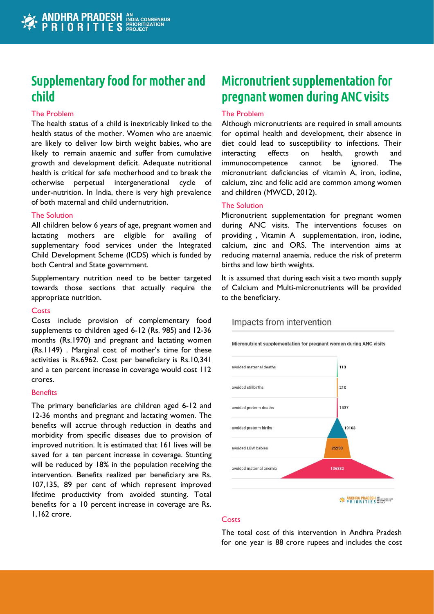# Supplementary food for mother and child

## The Problem

The health status of a child is inextricably linked to the health status of the mother. Women who are anaemic are likely to deliver low birth weight babies, who are likely to remain anaemic and suffer from cumulative growth and development deficit. Adequate nutritional health is critical for safe motherhood and to break the otherwise perpetual intergenerational cycle of under-nutrition. In India, there is very high prevalence of both maternal and child undernutrition.

### The Solution

All children below 6 years of age, pregnant women and lactating mothers are eligible for availing of supplementary food services under the Integrated Child Development Scheme (ICDS) which is funded by both Central and State government.

Supplementary nutrition need to be better targeted towards those sections that actually require the appropriate nutrition.

#### **Costs**

Costs include provision of complementary food supplements to children aged 6-12 (Rs. 985) and 12-36 months (Rs.1970) and pregnant and lactating women (Rs.1149) . Marginal cost of mother's time for these activities is Rs.6962. Cost per beneficiary is Rs.10,341 and a ten percent increase in coverage would cost 112 crores.

#### **Benefits**

The primary beneficiaries are children aged 6-12 and 12-36 months and pregnant and lactating women. The benefits will accrue through reduction in deaths and morbidity from specific diseases due to provision of improved nutrition. It is estimated that 161 lives will be saved for a ten percent increase in coverage. Stunting will be reduced by 18% in the population receiving the intervention. Benefits realized per beneficiary are Rs. 107,135, 89 per cent of which represent improved lifetime productivity from avoided stunting. Total benefits for a 10 percent increase in coverage are Rs. 1,162 crore.

# Micronutrient supplementation for pregnant women during ANC visits

### The Problem

Although micronutrients are required in small amounts for optimal health and development, their absence in diet could lead to susceptibility to infections. Their interacting effects on health, growth and immunocompetence cannot be ignored. The micronutrient deficiencies of vitamin A, iron, iodine, calcium, zinc and folic acid are common among women and children (MWCD, 2012).

## The Solution

Micronutrient supplementation for pregnant women during ANC visits. The interventions focuses on providing , Vitamin A supplementation, iron, iodine, calcium, zinc and ORS. The intervention aims at reducing maternal anaemia, reduce the risk of preterm births and low birth weights.

It is assumed that during each visit a two month supply of Calcium and Multi-micronutrients will be provided to the beneficiary.

# Impacts from intervention

Micronutrient supplementation for pregnant women during ANC visits



### **Costs**

The total cost of this intervention in Andhra Pradesh for one year is 88 crore rupees and includes the cost